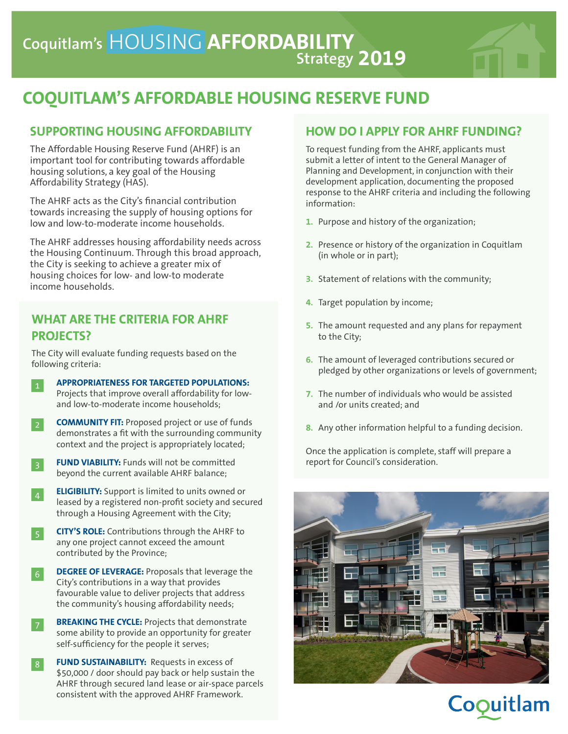

# **COQUITLAM'S AFFORDABLE HOUSING RESERVE FUND**

### **SUPPORTING HOUSING AFFORDABILITY**

The Affordable Housing Reserve Fund (AHRF) is an important tool for contributing towards affordable housing solutions, a key goal of the Housing Affordability Strategy (HAS).

The AHRF acts as the City's financial contribution towards increasing the supply of housing options for low and low-to-moderate income households.

The AHRF addresses housing affordability needs across the Housing Continuum. Through this broad approach, the City is seeking to achieve a greater mix of housing choices for low- and low-to moderate income households.

## **WHAT ARE THE CRITERIA FOR AHRF PROJECTS?**

The City will evaluate funding requests based on the following criteria:

**APPROPRIATENESS FOR TARGETED POPULATIONS:** Projects that improve overall affordability for lowand low-to-moderate income households; 1

**COMMUNITY FIT:** Proposed project or use of funds demonstrates a fit with the surrounding community context and the project is appropriately located;  $\overline{2}$ 

- **FUND VIABILITY:** Funds will not be committed beyond the current available AHRF balance;
- **ELIGIBILITY:** Support is limited to units owned or leased by a registered non-profit society and secured through a Housing Agreement with the City; 4
	- **CITY'S ROLE:** Contributions through the AHRF to any one project cannot exceed the amount contributed by the Province;

**DEGREE OF LEVERAGE:** Proposals that leverage the City's contributions in a way that provides favourable value to deliver projects that address the community's housing affordability needs;

**BREAKING THE CYCLE:** Projects that demonstrate some ability to provide an opportunity for greater self-sufficiency for the people it serves;

**FUND SUSTAINABILITY:** Requests in excess of \$50,000 / door should pay back or help sustain the AHRF through secured land lease or air-space parcels consistent with the approved AHRF Framework.  $|8|$ 

### **HOW DO I APPLY FOR AHRF FUNDING?**

To request funding from the AHRF, applicants must submit a letter of intent to the General Manager of Planning and Development, in conjunction with their development application, documenting the proposed response to the AHRF criteria and including the following information:

- **1.** Purpose and history of the organization;
- **2.** Presence or history of the organization in Coquitlam (in whole or in part);
- **3.** Statement of relations with the community;
- **4.** Target population by income;
- **5.** The amount requested and any plans for repayment to the City;
- **6.** The amount of leveraged contributions secured or pledged by other organizations or levels of government;
- **7.** The number of individuals who would be assisted and /or units created; and
- **8.** Any other information helpful to a funding decision.

Once the application is complete, staff will prepare a report for Council's consideration.